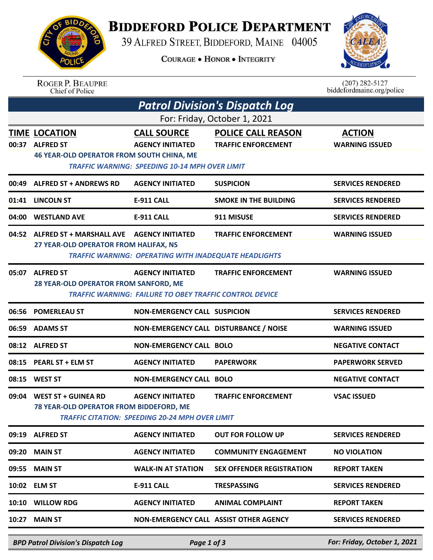## **BIDDEFORD POLICE DEPARTMENT**

39 ALFRED STREET, BIDDEFORD, MAINE 04005

**COURAGE . HONOR . INTEGRITY** 



|                                       | <b>ROGER P. BEAUPRE</b><br>Chief of Police                                                   |                                                                                                        |                                                         | $(207)$ 282-5127<br>biddefordmaine.org/police |  |  |  |  |
|---------------------------------------|----------------------------------------------------------------------------------------------|--------------------------------------------------------------------------------------------------------|---------------------------------------------------------|-----------------------------------------------|--|--|--|--|
| <b>Patrol Division's Dispatch Log</b> |                                                                                              |                                                                                                        |                                                         |                                               |  |  |  |  |
| For: Friday, October 1, 2021          |                                                                                              |                                                                                                        |                                                         |                                               |  |  |  |  |
| 00:37                                 | <b>TIME LOCATION</b><br><b>ALFRED ST</b><br><b>46 YEAR-OLD OPERATOR FROM SOUTH CHINA, ME</b> | <b>CALL SOURCE</b><br><b>AGENCY INITIATED</b><br><b>TRAFFIC WARNING: SPEEDING 10-14 MPH OVER LIMIT</b> | <b>POLICE CALL REASON</b><br><b>TRAFFIC ENFORCEMENT</b> | <b>ACTION</b><br><b>WARNING ISSUED</b>        |  |  |  |  |
| 00:49                                 | <b>ALFRED ST + ANDREWS RD</b>                                                                | <b>AGENCY INITIATED</b>                                                                                | <b>SUSPICION</b>                                        | <b>SERVICES RENDERED</b>                      |  |  |  |  |
| 01:41                                 | <b>LINCOLN ST</b>                                                                            | <b>E-911 CALL</b>                                                                                      | <b>SMOKE IN THE BUILDING</b>                            | <b>SERVICES RENDERED</b>                      |  |  |  |  |
| 04:00                                 | <b>WESTLAND AVE</b>                                                                          | <b>E-911 CALL</b>                                                                                      | 911 MISUSE                                              | <b>SERVICES RENDERED</b>                      |  |  |  |  |
| 04:52                                 | ALFRED ST + MARSHALL AVE AGENCY INITIATED<br>27 YEAR-OLD OPERATOR FROM HALIFAX, NS           | <b>TRAFFIC WARNING: OPERATING WITH INADEQUATE HEADLIGHTS</b>                                           | <b>TRAFFIC ENFORCEMENT</b>                              | <b>WARNING ISSUED</b>                         |  |  |  |  |
| 05:07                                 | <b>ALFRED ST</b><br>28 YEAR-OLD OPERATOR FROM SANFORD, ME                                    | <b>AGENCY INITIATED</b><br><b>TRAFFIC WARNING: FAILURE TO OBEY TRAFFIC CONTROL DEVICE</b>              | <b>TRAFFIC ENFORCEMENT</b>                              | <b>WARNING ISSUED</b>                         |  |  |  |  |
|                                       | 06:56 POMERLEAU ST                                                                           | <b>NON-EMERGENCY CALL SUSPICION</b>                                                                    |                                                         | <b>SERVICES RENDERED</b>                      |  |  |  |  |
| 06:59                                 | <b>ADAMS ST</b>                                                                              | NON-EMERGENCY CALL DISTURBANCE / NOISE                                                                 |                                                         | <b>WARNING ISSUED</b>                         |  |  |  |  |
|                                       | 08:12 ALFRED ST                                                                              | <b>NON-EMERGENCY CALL BOLO</b>                                                                         |                                                         | <b>NEGATIVE CONTACT</b>                       |  |  |  |  |
|                                       | 08:15 PEARL ST + ELM ST                                                                      | <b>AGENCY INITIATED</b>                                                                                | <b>PAPERWORK</b>                                        | <b>PAPERWORK SERVED</b>                       |  |  |  |  |
|                                       | 08:15 WEST ST                                                                                | <b>NON-EMERGENCY CALL BOLO</b>                                                                         |                                                         | <b>NEGATIVE CONTACT</b>                       |  |  |  |  |
|                                       | 09:04 WEST ST + GUINEA RD<br>78 YEAR-OLD OPERATOR FROM BIDDEFORD, ME                         | <b>AGENCY INITIATED</b><br><b>TRAFFIC CITATION: SPEEDING 20-24 MPH OVER LIMIT</b>                      | <b>TRAFFIC ENFORCEMENT</b>                              | <b>VSAC ISSUED</b>                            |  |  |  |  |
|                                       | 09:19 ALFRED ST                                                                              | <b>AGENCY INITIATED</b>                                                                                | <b>OUT FOR FOLLOW UP</b>                                | <b>SERVICES RENDERED</b>                      |  |  |  |  |
|                                       | 09:20 MAIN ST                                                                                | <b>AGENCY INITIATED</b>                                                                                | <b>COMMUNITY ENGAGEMENT</b>                             | <b>NO VIOLATION</b>                           |  |  |  |  |
| 09:55                                 | <b>MAIN ST</b>                                                                               | <b>WALK-IN AT STATION</b>                                                                              | <b>SEX OFFENDER REGISTRATION</b>                        | <b>REPORT TAKEN</b>                           |  |  |  |  |
|                                       | 10:02 ELM ST                                                                                 | <b>E-911 CALL</b>                                                                                      | <b>TRESPASSING</b>                                      | <b>SERVICES RENDERED</b>                      |  |  |  |  |
|                                       | 10:10 WILLOW RDG                                                                             | <b>AGENCY INITIATED</b>                                                                                | <b>ANIMAL COMPLAINT</b>                                 | <b>REPORT TAKEN</b>                           |  |  |  |  |
| 10:27                                 | <b>MAIN ST</b>                                                                               | NON-EMERGENCY CALL ASSIST OTHER AGENCY                                                                 |                                                         | <b>SERVICES RENDERED</b>                      |  |  |  |  |

*BPD Patrol Division's Dispatch Log Page 1 of 3 For: Friday, October 1, 2021*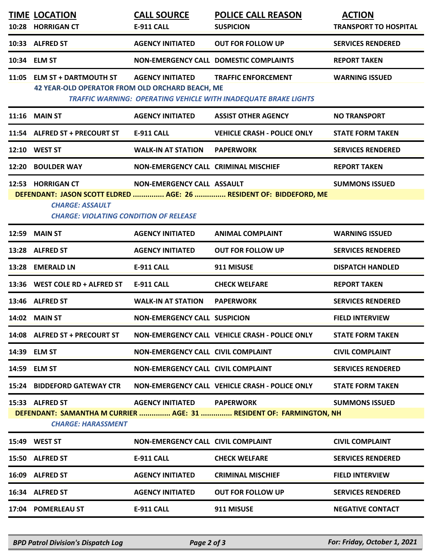|                                                                                                                                                                                             | <b>TIME LOCATION</b><br>10:28 HORRIGAN CT                                                    | <b>CALL SOURCE</b><br><b>E-911 CALL</b>     | <b>POLICE CALL REASON</b><br><b>SUSPICION</b>                                                        | <b>ACTION</b><br><b>TRANSPORT TO HOSPITAL</b> |  |  |
|---------------------------------------------------------------------------------------------------------------------------------------------------------------------------------------------|----------------------------------------------------------------------------------------------|---------------------------------------------|------------------------------------------------------------------------------------------------------|-----------------------------------------------|--|--|
|                                                                                                                                                                                             | 10:33 ALFRED ST                                                                              | <b>AGENCY INITIATED</b>                     | <b>OUT FOR FOLLOW UP</b>                                                                             | <b>SERVICES RENDERED</b>                      |  |  |
|                                                                                                                                                                                             | 10:34 ELM ST                                                                                 |                                             | NON-EMERGENCY CALL DOMESTIC COMPLAINTS                                                               | <b>REPORT TAKEN</b>                           |  |  |
|                                                                                                                                                                                             | 11:05 ELM ST + DARTMOUTH ST<br>42 YEAR-OLD OPERATOR FROM OLD ORCHARD BEACH, ME               | <b>AGENCY INITIATED</b>                     | <b>TRAFFIC ENFORCEMENT</b><br><b>TRAFFIC WARNING: OPERATING VEHICLE WITH INADEQUATE BRAKE LIGHTS</b> | <b>WARNING ISSUED</b>                         |  |  |
|                                                                                                                                                                                             | 11:16 MAIN ST                                                                                | <b>AGENCY INITIATED</b>                     | <b>ASSIST OTHER AGENCY</b>                                                                           | <b>NO TRANSPORT</b>                           |  |  |
|                                                                                                                                                                                             | 11:54 ALFRED ST + PRECOURT ST                                                                | <b>E-911 CALL</b>                           | <b>VEHICLE CRASH - POLICE ONLY</b>                                                                   | <b>STATE FORM TAKEN</b>                       |  |  |
|                                                                                                                                                                                             | 12:10 WEST ST                                                                                | <b>WALK-IN AT STATION</b>                   | <b>PAPERWORK</b>                                                                                     | <b>SERVICES RENDERED</b>                      |  |  |
|                                                                                                                                                                                             | 12:20 BOULDER WAY                                                                            | <b>NON-EMERGENCY CALL CRIMINAL MISCHIEF</b> |                                                                                                      | <b>REPORT TAKEN</b>                           |  |  |
|                                                                                                                                                                                             | 12:53 HORRIGAN CT<br><b>CHARGE: ASSAULT</b><br><b>CHARGE: VIOLATING CONDITION OF RELEASE</b> | NON-EMERGENCY CALL ASSAULT                  | DEFENDANT: JASON SCOTT ELDRED  AGE: 26  RESIDENT OF: BIDDEFORD, ME                                   | <b>SUMMONS ISSUED</b>                         |  |  |
| 12:59                                                                                                                                                                                       | <b>MAIN ST</b>                                                                               | <b>AGENCY INITIATED</b>                     | <b>ANIMAL COMPLAINT</b>                                                                              | <b>WARNING ISSUED</b>                         |  |  |
|                                                                                                                                                                                             | 13:28 ALFRED ST                                                                              | <b>AGENCY INITIATED</b>                     | <b>OUT FOR FOLLOW UP</b>                                                                             | <b>SERVICES RENDERED</b>                      |  |  |
|                                                                                                                                                                                             | 13:28 EMERALD LN                                                                             | <b>E-911 CALL</b>                           | 911 MISUSE                                                                                           | <b>DISPATCH HANDLED</b>                       |  |  |
|                                                                                                                                                                                             | 13:36 WEST COLE RD + ALFRED ST                                                               | <b>E-911 CALL</b>                           | <b>CHECK WELFARE</b>                                                                                 | <b>REPORT TAKEN</b>                           |  |  |
|                                                                                                                                                                                             | 13:46 ALFRED ST                                                                              | <b>WALK-IN AT STATION</b>                   | <b>PAPERWORK</b>                                                                                     | <b>SERVICES RENDERED</b>                      |  |  |
|                                                                                                                                                                                             | 14:02 MAIN ST                                                                                | <b>NON-EMERGENCY CALL SUSPICION</b>         |                                                                                                      | <b>FIELD INTERVIEW</b>                        |  |  |
|                                                                                                                                                                                             | 14:08 ALFRED ST + PRECOURT ST                                                                |                                             | NON-EMERGENCY CALL VEHICLE CRASH - POLICE ONLY                                                       | <b>STATE FORM TAKEN</b>                       |  |  |
|                                                                                                                                                                                             | 14:39 ELM ST                                                                                 | NON-EMERGENCY CALL CIVIL COMPLAINT          |                                                                                                      | <b>CIVIL COMPLAINT</b>                        |  |  |
|                                                                                                                                                                                             | 14:59 ELM ST                                                                                 | NON-EMERGENCY CALL CIVIL COMPLAINT          |                                                                                                      | <b>SERVICES RENDERED</b>                      |  |  |
|                                                                                                                                                                                             | <b>15:24 BIDDEFORD GATEWAY CTR</b>                                                           |                                             | NON-EMERGENCY CALL VEHICLE CRASH - POLICE ONLY                                                       | <b>STATE FORM TAKEN</b>                       |  |  |
| 15:33 ALFRED ST<br><b>AGENCY INITIATED</b><br><b>PAPERWORK</b><br><b>SUMMONS ISSUED</b><br>DEFENDANT: SAMANTHA M CURRIER  AGE: 31  RESIDENT OF: FARMINGTON, NH<br><b>CHARGE: HARASSMENT</b> |                                                                                              |                                             |                                                                                                      |                                               |  |  |
|                                                                                                                                                                                             | 15:49 WEST ST                                                                                | NON-EMERGENCY CALL CIVIL COMPLAINT          |                                                                                                      | <b>CIVIL COMPLAINT</b>                        |  |  |
|                                                                                                                                                                                             | 15:50 ALFRED ST                                                                              | <b>E-911 CALL</b>                           | <b>CHECK WELFARE</b>                                                                                 | <b>SERVICES RENDERED</b>                      |  |  |
|                                                                                                                                                                                             | 16:09 ALFRED ST                                                                              | <b>AGENCY INITIATED</b>                     | <b>CRIMINAL MISCHIEF</b>                                                                             | <b>FIELD INTERVIEW</b>                        |  |  |
|                                                                                                                                                                                             | 16:34 ALFRED ST                                                                              | <b>AGENCY INITIATED</b>                     | <b>OUT FOR FOLLOW UP</b>                                                                             | <b>SERVICES RENDERED</b>                      |  |  |
|                                                                                                                                                                                             | 17:04 POMERLEAU ST                                                                           | <b>E-911 CALL</b>                           | 911 MISUSE                                                                                           | <b>NEGATIVE CONTACT</b>                       |  |  |
|                                                                                                                                                                                             |                                                                                              |                                             |                                                                                                      |                                               |  |  |